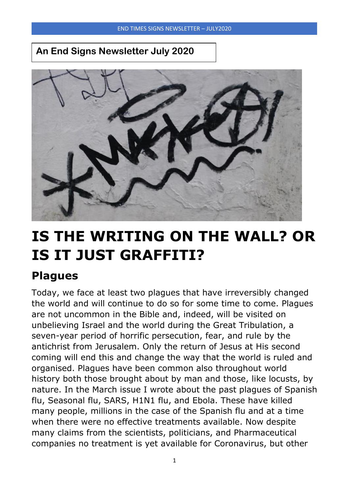## **An End Signs Newsletter July 2020**



# **IS THE WRITING ON THE WALL? OR IS IT JUST GRAFFITI?**

## **Plagues**

Today, we face at least two plagues that have irreversibly changed the world and will continue to do so for some time to come. Plagues are not uncommon in the Bible and, indeed, will be visited on unbelieving Israel and the world during the Great Tribulation, a seven-year period of horrific persecution, fear, and rule by the antichrist from Jerusalem. Only the return of Jesus at His second coming will end this and change the way that the world is ruled and organised. Plagues have been common also throughout world history both those brought about by man and those, like locusts, by nature. In the March issue I wrote about the past plagues of Spanish flu, Seasonal flu, SARS, H1N1 flu, and Ebola. These have killed many people, millions in the case of the Spanish flu and at a time when there were no effective treatments available. Now despite many claims from the scientists, politicians, and Pharmaceutical companies no treatment is yet available for Coronavirus, but other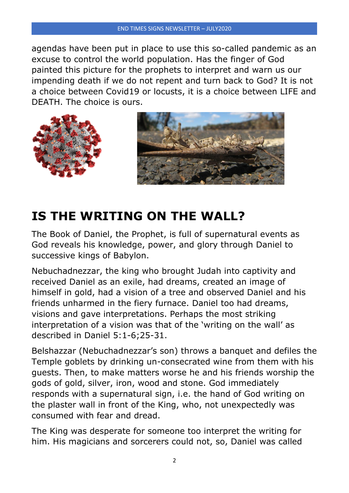agendas have been put in place to use this so-called pandemic as an excuse to control the world population. Has the finger of God painted this picture for the prophets to interpret and warn us our impending death if we do not repent and turn back to God? It is not a choice between Covid19 or locusts, it is a choice between LIFE and DEATH. The choice is ours.



## **IS THE WRITING ON THE WALL?**

The Book of Daniel, the Prophet, is full of supernatural events as God reveals his knowledge, power, and glory through Daniel to successive kings of Babylon.

Nebuchadnezzar, the king who brought Judah into captivity and received Daniel as an exile, had dreams, created an image of himself in gold, had a vision of a tree and observed Daniel and his friends unharmed in the fiery furnace. Daniel too had dreams, visions and gave interpretations. Perhaps the most striking interpretation of a vision was that of the 'writing on the wall' as described in Daniel 5:1-6;25-31.

Belshazzar (Nebuchadnezzar's son) throws a banquet and defiles the Temple goblets by drinking un-consecrated wine from them with his guests. Then, to make matters worse he and his friends worship the gods of gold, silver, iron, wood and stone. God immediately responds with a supernatural sign, i.e. the hand of God writing on the plaster wall in front of the King, who, not unexpectedly was consumed with fear and dread.

The King was desperate for someone too interpret the writing for him. His magicians and sorcerers could not, so, Daniel was called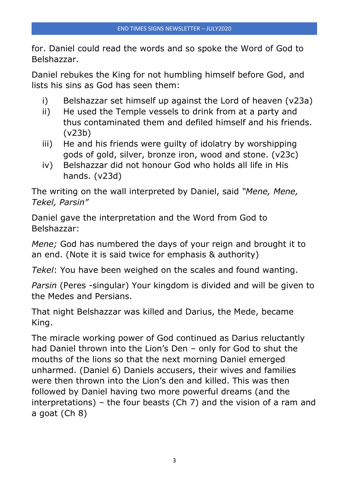for. Daniel could read the words and so spoke the Word of God to Belshazzar.

Daniel rebukes the King for not humbling himself before God, and lists his sins as God has seen them:

- i) Belshazzar set himself up against the Lord of heaven (v23a)
- ii) He used the Temple vessels to drink from at a party and thus contaminated them and defiled himself and his friends. (v23b)
- iii) He and his friends were guilty of idolatry by worshipping gods of gold, silver, bronze iron, wood and stone. (v23c)
- iv) Belshazzar did not honour God who holds all life in His hands. (v23d)

The writing on the wall interpreted by Daniel, said *"Mene, Mene, Tekel, Parsin"*

Daniel gave the interpretation and the Word from God to Belshazzar:

*Mene;* God has numbered the days of your reign and brought it to an end. (Note it is said twice for emphasis & authority)

*Tekel*: You have been weighed on the scales and found wanting.

*Parsin* (Peres -singular) Your kingdom is divided and will be given to the Medes and Persians.

That night Belshazzar was killed and Darius, the Mede, became King.

The miracle working power of God continued as Darius reluctantly had Daniel thrown into the Lion's Den – only for God to shut the mouths of the lions so that the next morning Daniel emerged unharmed. (Daniel 6) Daniels accusers, their wives and families were then thrown into the Lion's den and killed. This was then followed by Daniel having two more powerful dreams (and the interpretations) – the four beasts (Ch 7) and the vision of a ram and a goat (Ch 8)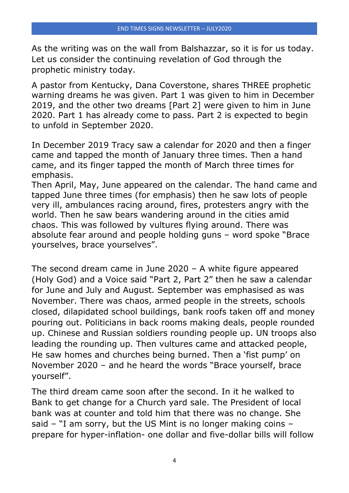As the writing was on the wall from Balshazzar, so it is for us today. Let us consider the continuing revelation of God through the prophetic ministry today.

A pastor from Kentucky, Dana Coverstone, shares THREE prophetic warning dreams he was given. Part 1 was given to him in December 2019, and the other two dreams [Part 2] were given to him in June 2020. Part 1 has already come to pass. Part 2 is expected to begin to unfold in September 2020.

In December 2019 Tracy saw a calendar for 2020 and then a finger came and tapped the month of January three times. Then a hand came, and its finger tapped the month of March three times for emphasis.

Then April, May, June appeared on the calendar. The hand came and tapped June three times (for emphasis) then he saw lots of people very ill, ambulances racing around, fires, protesters angry with the world. Then he saw bears wandering around in the cities amid chaos. This was followed by vultures flying around. There was absolute fear around and people holding guns – word spoke "Brace yourselves, brace yourselves".

The second dream came in June 2020 – A white figure appeared (Holy God) and a Voice said "Part 2, Part 2" then he saw a calendar for June and July and August. September was emphasised as was November. There was chaos, armed people in the streets, schools closed, dilapidated school buildings, bank roofs taken off and money pouring out. Politicians in back rooms making deals, people rounded up. Chinese and Russian soldiers rounding people up. UN troops also leading the rounding up. Then vultures came and attacked people, He saw homes and churches being burned. Then a 'fist pump' on November 2020 – and he heard the words "Brace yourself, brace yourself".

The third dream came soon after the second. In it he walked to Bank to get change for a Church yard sale. The President of local bank was at counter and told him that there was no change. She said – "I am sorry, but the US Mint is no longer making coins – prepare for hyper-inflation- one dollar and five-dollar bills will follow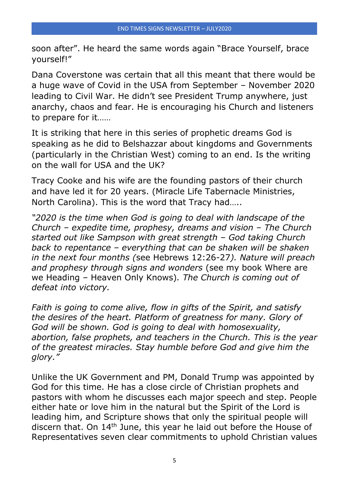soon after". He heard the same words again "Brace Yourself, brace yourself!"

Dana Coverstone was certain that all this meant that there would be a huge wave of Covid in the USA from September – November 2020 leading to Civil War. He didn't see President Trump anywhere, just anarchy, chaos and fear. He is encouraging his Church and listeners to prepare for it……

It is striking that here in this series of prophetic dreams God is speaking as he did to Belshazzar about kingdoms and Governments (particularly in the Christian West) coming to an end. Is the writing on the wall for USA and the UK?

Tracy Cooke and his wife are the founding pastors of their church and have led it for 20 years. (Miracle Life Tabernacle Ministries, North Carolina). This is the word that Tracy had…..

*"2020 is the time when God is going to deal with landscape of the Church – expedite time, prophesy, dreams and vision – The Church started out like Sampson with great strength – God taking Church back to repentance – everything that can be shaken will be shaken in the next four months (*see Hebrews 12:26-27*). Nature will preach and prophesy through signs and wonders* (see my book Where are we Heading – Heaven Only Knows)*. The Church is coming out of defeat into victory.*

*Faith is going to come alive, flow in gifts of the Spirit, and satisfy the desires of the heart. Platform of greatness for many. Glory of God will be shown. God is going to deal with homosexuality, abortion, false prophets, and teachers in the Church. This is the year of the greatest miracles. Stay humble before God and give him the glory."*

Unlike the UK Government and PM, Donald Trump was appointed by God for this time. He has a close circle of Christian prophets and pastors with whom he discusses each major speech and step. People either hate or love him in the natural but the Spirit of the Lord is leading him, and Scripture shows that only the spiritual people will discern that. On 14<sup>th</sup> June, this year he laid out before the House of Representatives seven clear commitments to uphold Christian values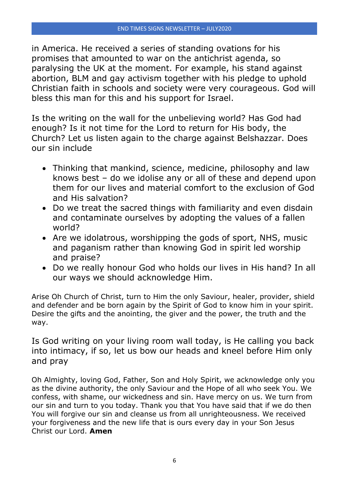in America. He received a series of standing ovations for his promises that amounted to war on the antichrist agenda, so paralysing the UK at the moment. For example, his stand against abortion, BLM and gay activism together with his pledge to uphold Christian faith in schools and society were very courageous. God will bless this man for this and his support for Israel.

Is the writing on the wall for the unbelieving world? Has God had enough? Is it not time for the Lord to return for His body, the Church? Let us listen again to the charge against Belshazzar. Does our sin include

- Thinking that mankind, science, medicine, philosophy and law knows best – do we idolise any or all of these and depend upon them for our lives and material comfort to the exclusion of God and His salvation?
- Do we treat the sacred things with familiarity and even disdain and contaminate ourselves by adopting the values of a fallen world?
- Are we idolatrous, worshipping the gods of sport, NHS, music and paganism rather than knowing God in spirit led worship and praise?
- Do we really honour God who holds our lives in His hand? In all our ways we should acknowledge Him.

Arise Oh Church of Christ, turn to Him the only Saviour, healer, provider, shield and defender and be born again by the Spirit of God to know him in your spirit. Desire the gifts and the anointing, the giver and the power, the truth and the way.

Is God writing on your living room wall today, is He calling you back into intimacy, if so, let us bow our heads and kneel before Him only and pray

Oh Almighty, loving God, Father, Son and Holy Spirit, we acknowledge only you as the divine authority, the only Saviour and the Hope of all who seek You. We confess, with shame, our wickedness and sin. Have mercy on us. We turn from our sin and turn to you today. Thank you that You have said that if we do then You will forgive our sin and cleanse us from all unrighteousness. We received your forgiveness and the new life that is ours every day in your Son Jesus Christ our Lord. **Amen**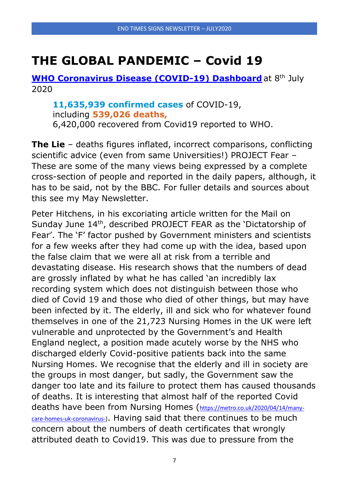## **THE GLOBAL PANDEMIC – Covid 19**

**[WHO Coronavirus Disease \(COVID-19\) Dashboard](https://covid19.who.int/)** at 8<sup>th</sup> July 2020

**11,635,939 confirmed cases** of COVID-19, including **539,026 deaths,** 6,420,000 recovered from Covid19 reported to WHO.

**The Lie** – deaths figures inflated, incorrect comparisons, conflicting scientific advice (even from same Universities!) PROJECT Fear – These are some of the many views being expressed by a complete cross-section of people and reported in the daily papers, although, it has to be said, not by the BBC. For fuller details and sources about this see my May Newsletter.

Peter Hitchens, in his excoriating article written for the Mail on Sunday June 14th, described PROJECT FEAR as the 'Dictatorship of Fear'. The 'F' factor pushed by Government ministers and scientists for a few weeks after they had come up with the idea, based upon the false claim that we were all at risk from a terrible and devastating disease. His research shows that the numbers of dead are grossly inflated by what he has called 'an incredibly lax recording system which does not distinguish between those who died of Covid 19 and those who died of other things, but may have been infected by it. The elderly, ill and sick who for whatever found themselves in one of the 21,723 Nursing Homes in the UK were left vulnerable and unprotected by the Government's and Health England neglect, a position made acutely worse by the NHS who discharged elderly Covid-positive patients back into the same Nursing Homes. We recognise that the elderly and ill in society are the groups in most danger, but sadly, the Government saw the danger too late and its failure to protect them has caused thousands of deaths. It is interesting that almost half of the reported Covid deaths have been from Nursing Homes ([https://metro.co.uk/2020/04/14/many](https://metro.co.uk/2020/04/14/many-care-homes-uk-coronavirus-)[care-homes-uk-coronavirus-\)](https://metro.co.uk/2020/04/14/many-care-homes-uk-coronavirus-). Having said that there continues to be much concern about the numbers of death certificates that wrongly attributed death to Covid19. This was due to pressure from the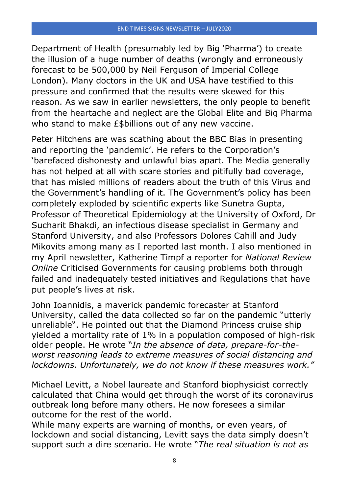Department of Health (presumably led by Big 'Pharma') to create the illusion of a huge number of deaths (wrongly and erroneously forecast to be 500,000 by Neil Ferguson of Imperial College London). Many doctors in the UK and USA have testified to this pressure and confirmed that the results were skewed for this reason. As we saw in earlier newsletters, the only people to benefit from the heartache and neglect are the Global Elite and Big Pharma who stand to make *£\$billions* out of any new vaccine.

Peter Hitchens are was scathing about the BBC Bias in presenting and reporting the 'pandemic'. He refers to the Corporation's 'barefaced dishonesty and unlawful bias apart. The Media generally has not helped at all with scare stories and pitifully bad coverage, that has misled millions of readers about the truth of this Virus and the Government's handling of it. The Government's policy has been completely exploded by scientific experts like Sunetra Gupta, Professor of Theoretical Epidemiology at the University of Oxford, Dr Sucharit Bhakdi, an infectious disease specialist in Germany and Stanford University, and also Professors Dolores Cahill and Judy Mikovits among many as I reported last month. I also mentioned in my April newsletter, Katherine Timpf a reporter for *National Review Online* Criticised Governments for causing problems both through failed and inadequately tested initiatives and Regulations that have put people's lives at risk.

John Ioannidis, a maverick pandemic forecaster at Stanford University, called the data collected so far on the pandemic "[utterly](https://www.statnews.com/2020/03/17/a-fiasco-in-the-making-as-the-coronavirus-pandemic-takes-hold-we-are-making-decisions-without-reliable-data/)  [unreliable](https://www.statnews.com/2020/03/17/a-fiasco-in-the-making-as-the-coronavirus-pandemic-takes-hold-we-are-making-decisions-without-reliable-data/)". He pointed out that the Diamond Princess cruise ship yielded a mortality rate of 1% in a population composed of high-risk older people. He wrote "*In the absence of data, prepare-for-theworst reasoning leads to extreme measures of social distancing and lockdowns. Unfortunately, we do not know if these measures work."*

Michael Levitt, a Nobel laureate and Stanford biophysicist correctly calculated that China would get through the worst of its coronavirus outbreak long before many others. He now [foresees](https://www.latimes.com/science/story/2020-03-22/coronavirus-outbreak-nobel-laureate) a similar outcome for the rest of the world.

While many experts are warning of months, or even years, of lockdown and social distancing, Levitt says the data simply doesn't support such a dire scenario. He wrote "*The real situation is not as*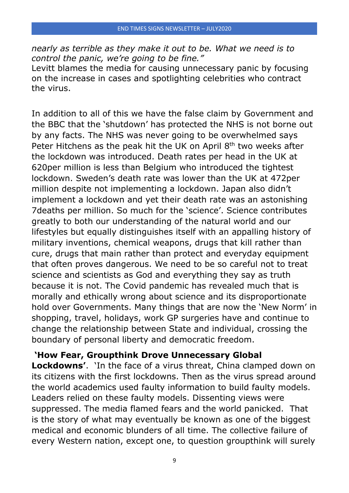*nearly as terrible as they make it out to be. What we need is to control the panic, we're going to be fine."*

Levitt blames the media for causing unnecessary panic by focusing on the increase in cases and spotlighting celebrities who contract the virus.

In addition to all of this we have the false claim by Government and the BBC that the 'shutdown' has protected the NHS is not borne out by any facts. The NHS was never going to be overwhelmed says Peter Hitchens as the peak hit the UK on April 8<sup>th</sup> two weeks after the lockdown was introduced. Death rates per head in the UK at 620per million is less than Belgium who introduced the tightest lockdown. Sweden's death rate was lower than the UK at 472per million despite not implementing a lockdown. Japan also didn't implement a lockdown and yet their death rate was an astonishing 7deaths per million. So much for the 'science'. Science contributes greatly to both our understanding of the natural world and our lifestyles but equally distinguishes itself with an appalling history of military inventions, chemical weapons, drugs that kill rather than cure, drugs that main rather than protect and everyday equipment that often proves dangerous. We need to be so careful not to treat science and scientists as God and everything they say as truth because it is not. The Covid pandemic has revealed much that is morally and ethically wrong about science and its disproportionate hold over Governments. Many things that are now the 'New Norm' in shopping, travel, holidays, work GP surgeries have and continue to change the relationship between State and individual, crossing the boundary of personal liberty and democratic freedom.

#### **'How Fear, Groupthink Drove Unnecessary Global**

**Lockdowns'**. 'In the face of a virus threat, China clamped down on its citizens with the first lockdowns. Then as the virus spread around the world academics used faulty information to build faulty models. Leaders relied on these faulty models. Dissenting views were suppressed. The media flamed fears and the world panicked. That is the story of what may eventually be known as one of the biggest medical and economic blunders of all time. The collective failure of every Western nation, except one, to question groupthink will surely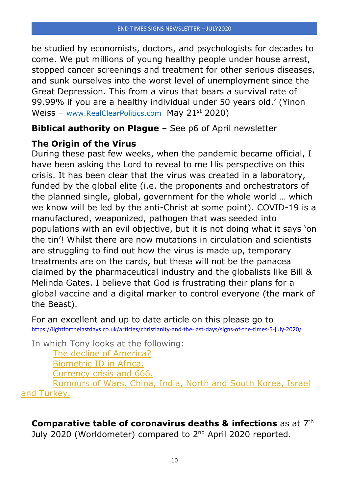be studied by economists, doctors, and psychologists for decades to come. We put millions of young healthy people under house arrest, stopped cancer screenings and treatment for other serious diseases, and sunk ourselves into the worst level of unemployment since the Great Depression. This from a virus that bears a survival rate of 99.99% if you are a healthy individual under 50 years old.' (Yinon Weiss – [www.RealClearPolitics.com](http://www.realclearpolitics.com/) May 21<sup>st</sup> 2020)

### **Biblical authority on Plague** – See p6 of April newsletter

## **The Origin of the Virus**

During these past few weeks, when the pandemic became official, I have been asking the Lord to reveal to me His perspective on this crisis. It has been clear that the virus was created in a laboratory, funded by the global elite (i.e. the proponents and orchestrators of the planned single, global, government for the whole world … which we know will be led by the anti-Christ at some point). COVID-19 is a manufactured, weaponized, pathogen that was seeded into populations with an evil objective, but it is not doing what it says 'on the tin'! Whilst there are now mutations in circulation and scientists are struggling to find out how the virus is made up, temporary treatments are on the cards, but these will not be the panacea claimed by the pharmaceutical industry and the globalists like Bill & Melinda Gates. I believe that God is frustrating their plans for a global vaccine and a digital marker to control everyone (the mark of the Beast).

For an excellent and up to date article on this please go to <https://lightforthelastdays.co.uk/articles/christianity-and-the-last-days/signs-of-the-times-5-july-2020/>

In which Tony looks at the following:

[The decline of America?](https://lightforthelastdays.co.uk/articles/christianity-and-the-last-days/signs-of-the-times-5-july-2020/#The_decline_of_America) [Biometric ID in Africa.](https://lightforthelastdays.co.uk/articles/christianity-and-the-last-days/signs-of-the-times-5-july-2020/#Biometric_ID_in_Africa) [Currency crisis](https://lightforthelastdays.co.uk/articles/christianity-and-the-last-days/signs-of-the-times-5-july-2020/#Currency_crisis_and_666) and 666.

[Rumours of Wars. China, India, North and](https://lightforthelastdays.co.uk/articles/christianity-and-the-last-days/signs-of-the-times-5-july-2020/#Rumours_of_Wars_China_India_North_and_South_Korea_Israel_and_Turkey) South Korea, Israel [and Turkey.](https://lightforthelastdays.co.uk/articles/christianity-and-the-last-days/signs-of-the-times-5-july-2020/#Rumours_of_Wars_China_India_North_and_South_Korea_Israel_and_Turkey)

**Comparative table of coronavirus deaths & infections** as at 7th July 2020 (Worldometer) compared to 2<sup>nd</sup> April 2020 reported.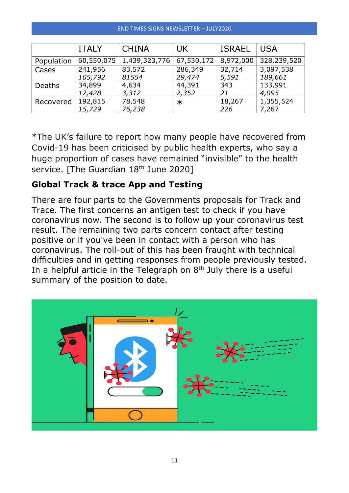#### END TIMES SIGNS NEWSLETTER – JULY2020

|               | <b>ITALY</b> | <b>CHINA</b>  | <b>UK</b>  | <b>ISRAEL</b> | <b>USA</b>  |
|---------------|--------------|---------------|------------|---------------|-------------|
| Population    | 60,550,075   | 1,439,323,776 | 67,530,172 | 8,972,000     | 328,239,520 |
| Cases         | 241,956      | 83,572        | 286,349    | 32,714        | 3,097,538   |
|               | 105,792      | 81554         | 29,474     | 5,591         | 189,661     |
| <b>Deaths</b> | 34,899       | 4,634         | 44,391     | 343           | 133,991     |
|               | 12,428       | 3,312         | 2,352      | 21            | 4,095       |
| Recovered     | 192,815      | 78,548        | $\ast$     | 18,267        | 1,355,524   |
|               | 15,729       | 76,238        |            | 226           | 7,267       |

\*The UK's failure to report how many people have recovered from Covid-19 has been criticised by public health experts, who say a huge proportion of cases have remained "invisible" to the health service. [The Guardian 18<sup>th</sup> June 2020]

### **Global Track & trace App and Testing**

There are four parts to the Governments proposals for Track and Trace. The first concerns [an antigen test to check if you have](https://www.nhs.uk/conditions/coronavirus-covid-19/testing-and-tracing/get-an-antigen-test-to-check-if-you-have-coronavirus/)  [coronavirus now.](https://www.nhs.uk/conditions/coronavirus-covid-19/testing-and-tracing/get-an-antigen-test-to-check-if-you-have-coronavirus/) The second is to follow up [your coronavirus test](https://www.nhs.uk/conditions/coronavirus-covid-19/testing-and-tracing/what-your-test-result-means/)  [result.](https://www.nhs.uk/conditions/coronavirus-covid-19/testing-and-tracing/what-your-test-result-means/) The remaining two parts concern contact [after testing](https://www.nhs.uk/conditions/coronavirus-covid-19/testing-and-tracing/nhs-test-and-trace-if-youre-contacted-after-testing-positive-for-coronavirus/)  [positive](https://www.nhs.uk/conditions/coronavirus-covid-19/testing-and-tracing/nhs-test-and-trace-if-youre-contacted-after-testing-positive-for-coronavirus/) or [if you've been in contact with a person who has](https://www.nhs.uk/conditions/coronavirus-covid-19/testing-and-tracing/nhs-test-and-trace-if-youve-been-in-contact-with-a-person-who-has-coronavirus/)  [coronavirus.](https://www.nhs.uk/conditions/coronavirus-covid-19/testing-and-tracing/nhs-test-and-trace-if-youve-been-in-contact-with-a-person-who-has-coronavirus/) The roll-out of this has been fraught with technical difficulties and in getting responses from people previously tested. In a helpful article in the Telegraph on  $8<sup>th</sup>$  July there is a useful summary of the position to date.

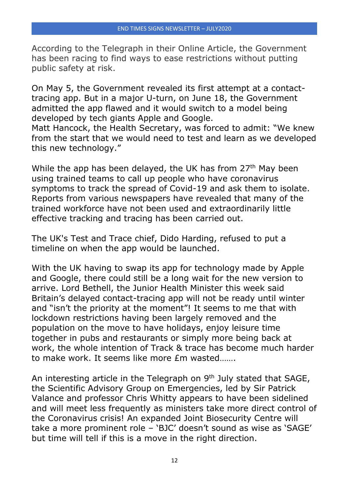According to the Telegraph in their Online Article, the Government has been racing to find ways to ease restrictions without putting public safety at risk.

On May 5, the Government revealed its first attempt at a contacttracing app. But in a major U-turn, on June 18, the Government admitted the app flawed and it [would switch to a model being](https://www.telegraph.co.uk/news/2020/06/18/nhs-coronavirus-contact-tracing-app-ditched-major-u-turn/)  [developed by tech giants Apple and Google.](https://www.telegraph.co.uk/news/2020/06/18/nhs-coronavirus-contact-tracing-app-ditched-major-u-turn/)

Matt Hancock, the Health Secretary, was forced to admit: "We knew from the start that we would need to test and learn as we developed this new technology."

While the app has been delayed, the UK has from 27<sup>th</sup> May been using trained teams to call up people who have [coronavirus](https://www.telegraph.co.uk/global-health/science-and-disease/coronavirus-symptoms-list-uk-covid-19-nhs-signs/)  [symptoms](https://www.telegraph.co.uk/global-health/science-and-disease/coronavirus-symptoms-list-uk-covid-19-nhs-signs/) to track the spread of Covid-19 and ask them to isolate. Reports from various newspapers have revealed that many of the trained workforce have not been used and extraordinarily little effective tracking and tracing has been carried out.

The UK's Test and Trace chief, Dido Harding, [refused to put a](https://www.telegraph.co.uk/technology/2020/05/27/nhs-test-trace-system-launch-without-contact-tracking-app/)  [timeline on when the app would be launched.](https://www.telegraph.co.uk/technology/2020/05/27/nhs-test-trace-system-launch-without-contact-tracking-app/)

With the UK having to swap its app for technology made by Apple and Google, there could still be a long wait for the new version to arrive. Lord Bethell, the Junior Health Minister this week said Britain's delayed contact-tracing app will not be ready until winter and "isn't the priority at the moment"! It seems to me that with lockdown restrictions having been largely removed and the population on the move to have holidays, enjoy leisure time together in pubs and restaurants or simply more being back at work, the whole intention of Track & trace has become much harder to make work. It seems like more £m wasted…….

An interesting article in the Telegraph on 9<sup>th</sup> July stated that SAGE, the Scientific Advisory Group on Emergencies, led by Sir Patrick Valance and professor Chris Whitty appears to have been sidelined and will meet less frequently as ministers take more direct control of the Coronavirus crisis! An expanded Joint Biosecurity Centre will take a more prominent role – 'BJC' doesn't sound as wise as 'SAGE' but time will tell if this is a move in the right direction.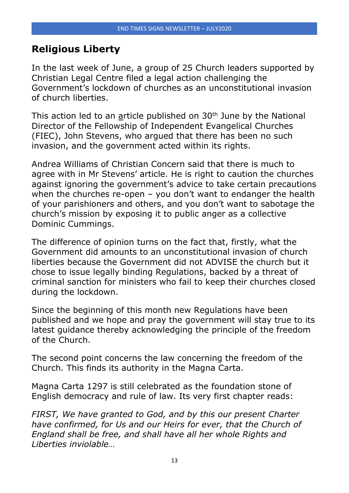## **Religious Liberty**

In the last week of June, a group of 25 Church leaders supported by Christian Legal Centre filed a legal action challenging the Government's lockdown of churches as an unconstitutional invasion of church liberties.

This action led to an article published on  $30<sup>th</sup>$  June by the National Director of the Fellowship of Independent Evangelical Churches (FIEC), John Stevens, who argued that there has been no such invasion, and the government acted within its rights.

Andrea Williams of Christian Concern said that there is much to agree with in Mr Stevens' article. He is right to caution the churches against ignoring the government's advice to take certain precautions when the churches re-open – you don't want to endanger the health of your parishioners and others, and you don't want to sabotage the church's mission by exposing it to public anger as a collective Dominic Cummings.

The difference of opinion turns on the fact that, firstly, what the Government did amounts to an unconstitutional invasion of church liberties because the Government did not ADVISE the church but it chose to issue legally binding Regulations, backed by a threat of criminal sanction for ministers who fail to keep their churches closed during the lockdown.

Since the beginning of this month new Regulations have been published and we hope and pray the government will stay true to its latest guidance thereby acknowledging the principle of the freedom of the Church.

The second point concerns the law concerning the freedom of the Church. This finds its authority in the Magna Carta.

Magna Carta 1297 is still celebrated as the foundation stone of English democracy and rule of law. Its very first chapter reads:

*FIRST, We have granted to God, and by this our present Charter have confirmed, for Us and our Heirs for ever, that the Church of England shall be free, and shall have all her whole Rights and Liberties inviolable…*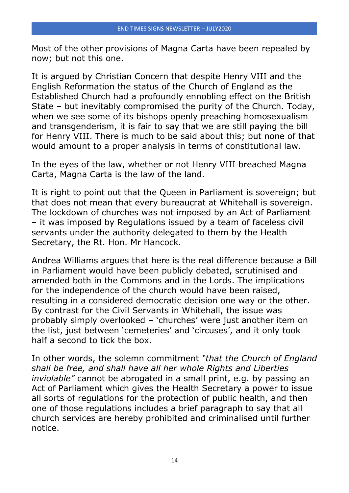Most of the other provisions of Magna Carta have been repealed by now; but not this one.

It is argued by Christian Concern that despite Henry VIII and the English Reformation the status of the Church of England as the Established Church had a profoundly ennobling effect on the British State – but inevitably compromised the purity of the Church. Today, when we see some of its bishops openly preaching homosexualism and transgenderism, it is fair to say that we are still paying the bill for Henry VIII. There is much to be said about this; but none of that would amount to a proper analysis in terms of constitutional law.

In the eyes of the law, whether or not Henry VIII breached Magna Carta, Magna Carta is the law of the land.

It is right to point out that the Queen in Parliament is sovereign; but that does not mean that every bureaucrat at Whitehall is sovereign. The lockdown of churches was not imposed by an Act of Parliament – it was imposed by Regulations issued by a team of faceless civil servants under the authority delegated to them by the Health Secretary, the Rt. Hon. Mr Hancock.

Andrea Williams argues that here is the real difference because a Bill in Parliament would have been publicly debated, scrutinised and amended both in the Commons and in the Lords. The implications for the independence of the church would have been raised, resulting in a considered democratic decision one way or the other. By contrast for the Civil Servants in Whitehall, the issue was probably simply overlooked – 'churches' were just another item on the list, just between 'cemeteries' and 'circuses', and it only took half a second to tick the box.

In other words, the solemn commitment *"that the Church of England shall be free, and shall have all her whole Rights and Liberties inviolable"* cannot be abrogated in a small print, e.g. by passing an Act of Parliament which gives the Health Secretary a power to issue all sorts of regulations for the protection of public health, and then one of those regulations includes a brief paragraph to say that all church services are hereby prohibited and criminalised until further notice.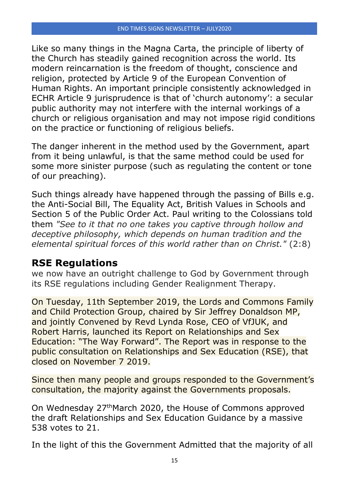Like so many things in the Magna Carta, the principle of liberty of the Church has steadily gained recognition across the world. Its modern reincarnation is the freedom of thought, conscience and religion, protected by Article 9 of the European Convention of Human Rights. An important principle consistently acknowledged in ECHR Article 9 jurisprudence is that of 'church autonomy': a secular public authority may not interfere with the internal workings of a church or religious organisation and may not impose rigid conditions on the practice or functioning of religious beliefs.

The danger inherent in the method used by the Government, apart from it being unlawful, is that the same method could be used for some more sinister purpose (such as regulating the content or tone of our preaching).

Such things already have happened through the passing of Bills e.g. the Anti-Social Bill, The Equality Act, British Values in Schools and Section 5 of the Public Order Act. Paul writing to the Colossians told them *"See to it that no one takes you captive through hollow and deceptive philosophy, which depends on human tradition and the elemental spiritual forces of this world rather than on Christ."* (2:8)

## **RSE Regulations**

we now have an outright challenge to God by Government through its RSE regulations including Gender Realignment Therapy.

On Tuesday, 11th September 2019, the Lords and Commons Family and Child Protection Group, chaired by Sir Jeffrey Donaldson MP, and jointly Convened by Revd Lynda Rose, CEO of VfJUK, and Robert Harris, launched its Report on Relationships and Sex Education: "The Way Forward". The Report was in response to the public consultation on Relationships and Sex Education (RSE), that closed on November 7 2019.

Since then many people and groups responded to the Government's consultation, the majority against the Governments proposals.

On Wednesday 27thMarch 2020, the House of Commons approved the draft Relationships and Sex Education Guidance by a massive 538 votes to 21.

In the light of this the Government Admitted that the majority of all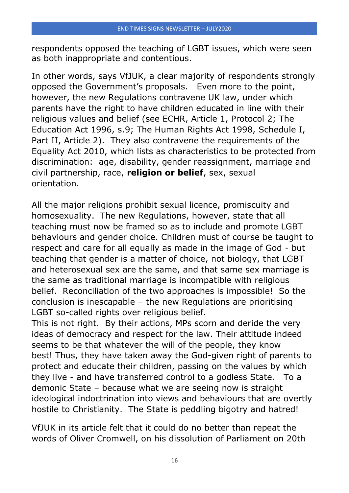respondents opposed the teaching of LGBT issues, which were seen as both inappropriate and contentious.

In other words, says VfJUK, a clear majority of respondents strongly opposed the Government's proposals. Even more to the point, however, the new Regulations contravene UK law, under which parents have the right to have children educated in line with their religious values and belief (see ECHR, Article 1, Protocol 2; The Education Act 1996, s.9; The Human Rights Act 1998, Schedule I, Part II, Article 2). They also contravene the requirements of the Equality Act 2010, which lists as characteristics to be protected from discrimination: age, disability, gender reassignment, marriage and civil partnership, race, **religion or belief**, sex, sexual orientation.

All the major religions prohibit sexual licence, promiscuity and homosexuality. The new Regulations, however, state that all teaching must now be framed so as to include and promote LGBT behaviours and gender choice. Children must of course be taught to respect and care for all equally as made in the image of God - but teaching that gender is a matter of choice, not biology, that LGBT and heterosexual sex are the same, and that same sex marriage is the same as traditional marriage is incompatible with religious belief. Reconciliation of the two approaches is impossible! So the conclusion is inescapable – the new Regulations are prioritising LGBT so-called rights over religious belief.

This is not right. By their actions, MPs scorn and deride the very ideas of democracy and respect for the law. Their attitude indeed seems to be that whatever the will of the people, they know best! Thus, they have taken away the God-given right of parents to protect and educate their children, passing on the values by which they live - and have transferred control to a godless State. To a demonic State – because what we are seeing now is straight ideological indoctrination into views and behaviours that are overtly hostile to Christianity. The State is peddling bigotry and hatred!

VfJUK in its article felt that it could do no better than repeat the words of Oliver Cromwell, on his dissolution of Parliament on 20th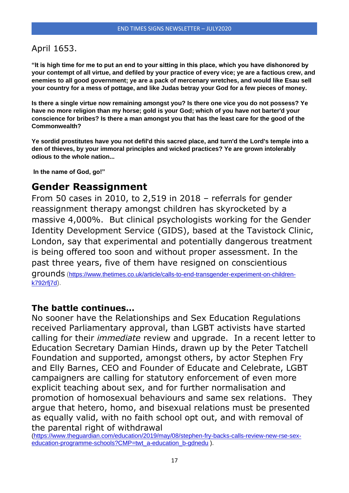#### April 1653.

**"It is high time for me to put an end to your sitting in this place, which you have dishonored by your contempt of all virtue, and defiled by your practice of every vice; ye are a factious crew, and enemies to all good government; ye are a pack of mercenary wretches, and would like Esau sell your country for a mess of pottage, and like Judas betray your God for a few pieces of money.**

**Is there a single virtue now remaining amongst you? Is there one vice you do not possess? Ye have no more religion than my horse; gold is your God; which of you have not barter'd your conscience for bribes? Is there a man amongst you that has the least care for the good of the Commonwealth?**

**Ye sordid prostitutes have you not defil'd this sacred place, and turn'd the Lord's temple into a den of thieves, by your immoral principles and wicked practices? Ye are grown intolerably odious to the whole nation...**

**In the name of God, go!"**

### **Gender Reassignment**

From 50 cases in 2010, to 2,519 in 2018 – referrals for gender reassignment therapy amongst children has skyrocketed by a massive 4,000%. But clinical psychologists working for the Gender Identity Development Service (GIDS), based at the Tavistock Clinic, London, say that experimental and potentially dangerous treatment is being offered too soon and without proper assessment. In the past three years, five of them have resigned on conscientious grounds ([https://www.thetimes.co.uk/article/calls-to-end-transgender-experiment-on-children](https://vfjuk.us8.list-manage.com/track/click?u=748b2cc9dae1e2713467c199a&id=a213d02bc9&e=c1ec588e45)[k792rfj7d](https://vfjuk.us8.list-manage.com/track/click?u=748b2cc9dae1e2713467c199a&id=a213d02bc9&e=c1ec588e45)).

#### **The battle continues…**

No sooner have the Relationships and Sex Education Regulations received Parliamentary approval, than LGBT activists have started calling for their *immediate* review and upgrade. In a recent letter to Education Secretary Damian Hinds, drawn up by the Peter Tatchell Foundation and supported, amongst others, by actor Stephen Fry and Elly Barnes, CEO and Founder of Educate and Celebrate, LGBT campaigners are calling for statutory enforcement of even more explicit teaching about sex, and for further normalisation and promotion of homosexual behaviours and same sex relations. They argue that hetero, homo, and bisexual relations must be presented as equally valid, with no faith school opt out, and with removal of the parental right of withdrawal

[\(https://www.theguardian.com/education/2019/may/08/stephen-fry-backs-calls-review-new-rse-sex](https://vfjuk.us8.list-manage.com/track/click?u=748b2cc9dae1e2713467c199a&id=c2b4212e76&e=c1ec588e45)[education-programme-schools?CMP=twt\\_a-education\\_b-gdnedu](https://vfjuk.us8.list-manage.com/track/click?u=748b2cc9dae1e2713467c199a&id=c2b4212e76&e=c1ec588e45) ).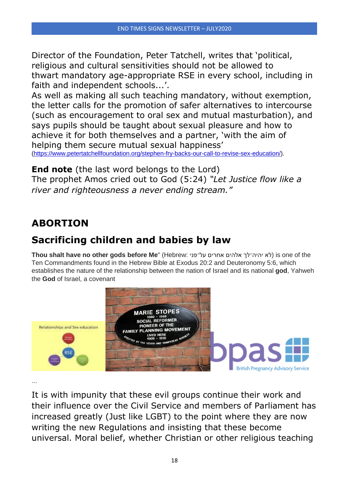Director of the Foundation, Peter Tatchell, writes that 'political, religious and cultural sensitivities should not be allowed to thwart mandatory age-appropriate RSE in every school, including in faith and independent schools...'.

As well as making all such teaching mandatory, without exemption, the letter calls for the promotion of safer alternatives to intercourse (such as encouragement to oral sex and mutual masturbation), and says pupils should be taught about sexual pleasure and how to achieve it for both themselves and a partner, 'with the aim of helping them secure mutual sexual happiness' [\(https://www.petertatchellfoundation.org/stephen-fry-backs-our-call-to-revise-sex-education/\)](https://vfjuk.us8.list-manage.com/track/click?u=748b2cc9dae1e2713467c199a&id=a67a3cd32d&e=c1ec588e45).

**End note** (the last word belongs to the Lord) The prophet Amos cried out to God (5:24) *"Let Justice flow like a river and righteousness a never ending stream."*

## **ABORTION**

## **Sacrificing children and babies by law**

**Thou shalt have no other gods before Me**" (Hebrew: על־פני אחרים אלהים יהיה־לך לא (is one of the Ten Commandments found in the Hebrew Bible at Exodus 20:2 and Deuteronomy 5:6, which establishes the nature of the relationship between the nation of Israel and its national **god**, Yahweh the **God** of Israel, a covenant



...

It is with impunity that these evil groups continue their work and their influence over the Civil Service and members of Parliament has increased greatly (Just like LGBT) to the point where they are now writing the new Regulations and insisting that these become universal. Moral belief, whether Christian or other religious teaching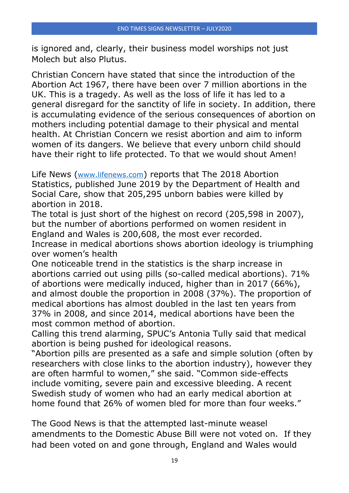is ignored and, clearly, their business model worships not just Molech but also Plutus.

Christian Concern have stated that since the introduction of the Abortion Act 1967, there have been over 7 million abortions in the UK. This is a tragedy. As well as the loss of life it has led to a general disregard for the sanctity of life in society. In addition, there is accumulating evidence of the serious consequences of abortion on mothers including potential damage to their physical and mental health. At Christian Concern we resist abortion and aim to inform women of its dangers. We believe that every unborn child should have their right to life protected. To that we would shout Amen!

Life News ([www.lifenews.com](http://www.lifenews.com/)) reports that The 2018 Abortion [Statistics,](https://assets.publishing.service.gov.uk/government/uploads/system/uploads/attachment_data/file/808556/Abortion_Statistics__England_and_Wales_2018__1_.pdf) published June 2019 by the Department of Health and Social Care, show that 205,295 unborn babies were killed by abortion in 2018.

The total is just short of the highest on record (205,598 in 2007), but the number of abortions performed on women resident in England and Wales is 200,608, the most ever recorded.

Increase in medical abortions shows abortion ideology is triumphing over women's health

One noticeable trend in the statistics is the sharp increase in abortions carried out using pills (so-called medical abortions). 71% of abortions were medically induced, higher than in 2017 (66%), and almost double the proportion in 2008 (37%). The proportion of medical abortions has almost doubled in the last ten years from 37% in 2008, and since 2014, medical abortions have been the most common method of abortion.

Calling this trend alarming, SPUC's Antonia Tully [said](https://www.spuc.org.uk/press-releases/latest-abortion-stats-show-ideology-is-triumphing-over-women-s-safety-says-pro-life-group) that medical abortion is being pushed for ideological reasons.

"Abortion pills are presented as a safe and simple solution (often by researchers with close links to the abortion industry), however they are often harmful to women," she said. "Common side-effects include vomiting, severe pain and excessive bleeding. A recent Swedish study of women who had an early medical abortion at home found that 26% of women bled for more than four weeks."

The Good News is that the attempted last-minute weasel amendments to the Domestic Abuse Bill were not voted on. If they had been voted on and gone through, England and Wales would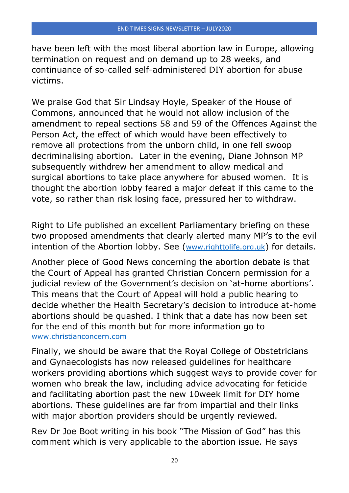have been left with the most liberal abortion law in Europe, allowing termination on request and on demand up to 28 weeks, and continuance of so-called self-administered DIY abortion for abuse victims.

We praise God that Sir Lindsay Hoyle, Speaker of the House of Commons, announced that he would not allow inclusion of the amendment to repeal sections 58 and 59 of the Offences Against the Person Act, the effect of which would have been effectively to remove all protections from the unborn child, in one fell swoop decriminalising abortion. Later in the evening, Diane Johnson MP subsequently withdrew her amendment to allow medical and surgical abortions to take place anywhere for abused women. It is thought the abortion lobby feared a major defeat if this came to the vote, so rather than risk losing face, pressured her to withdraw.

Right to Life published an excellent Parliamentary briefing on these two proposed amendments that clearly alerted many MP's to the evil intention of the Abortion lobby. See ([www.righttolife.org.uk](http://www.righttolife.org.uk/)) for details.

Another piece of Good News concerning the abortion debate is that the Court of Appeal has granted Christian Concern permission for a judicial review of the Government's decision on 'at-home abortions'. This means that the Court of Appeal will hold a public hearing to decide whether the Health Secretary's decision to introduce at-home abortions should be quashed. I think that a date has now been set for the end of this month but for more information go to [www.christianconcern.com](http://www.christianconcern.com/)

Finally, we should be aware that the Royal College of Obstetricians and Gynaecologists has now released guidelines for healthcare workers providing abortions which suggest ways to provide cover for women who break the law, including advice advocating for feticide and facilitating abortion past the new 10week limit for DIY home abortions. These guidelines are far from impartial and their links with major abortion providers should be urgently reviewed.

Rev Dr Joe Boot writing in his book "The Mission of God" has this comment which is very applicable to the abortion issue. He says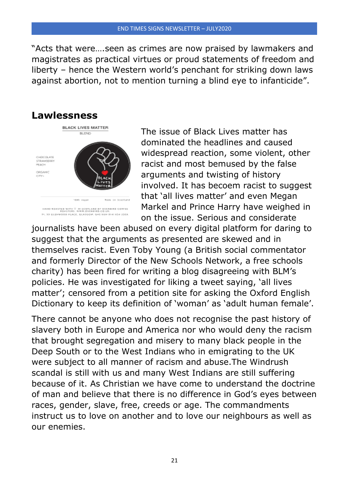#### END TIMES SIGNS NEWSLETTER – JULY2020

"Acts that were….seen as crimes are now praised by lawmakers and magistrates as practical virtues or proud statements of freedom and liberty – hence the Western world's penchant for striking down laws against abortion, not to mention turning a blind eye to infanticide".



The issue of Black Lives matter has dominated the headlines and caused widespread reaction, some violent, other racist and most bemused by the false arguments and twisting of history involved. It has becoem racist to suggest that 'all lives matter' and even Megan Markel and Prince Harry have weighed in on the issue. Serious and considerate

journalists have been abused on every digital platform for daring to suggest that the arguments as presented are skewed and in themselves racist. Even Toby Young (a British social commentator and formerly Director of the New Schools Network, a free schools charity) has been fired for writing a blog disagreeing with BLM's policies. He was investigated for liking a tweet saying, 'all lives matter'; censored from a petition site for asking the Oxford English Dictionary to keep its definition of 'woman' as 'adult human female'.

There cannot be anyone who does not recognise the past history of slavery both in Europe and America nor who would deny the racism that brought segregation and misery to many black people in the Deep South or to the West Indians who in emigrating to the UK were subject to all manner of racism and abuse.The Windrush scandal is still with us and many West Indians are still suffering because of it. As Christian we have come to understand the doctrine of man and believe that there is no difference in God's eyes between races, gender, slave, free, creeds or age. The commandments instruct us to love on another and to love our neighbours as well as our enemies.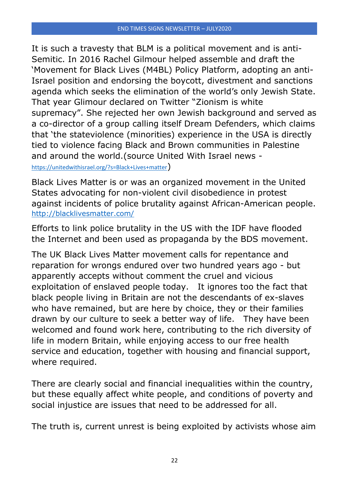It is such a travesty that BLM is a political movement and is anti-Semitic. In 2016 Rachel Gilmour helped assemble and draft the 'Movement for Black Lives (M4BL) Policy Platform, adopting an anti-Israel position and endorsing the boycott, divestment and sanctions agenda which seeks the elimination of the world's only Jewish State. That year Glimour declared on Twitter "Zionism is white supremacy". She rejected her own Jewish background and served as a co-director of a group calling itself Dream Defenders, which claims that 'the stateviolence (minorities) experience in the USA is directly tied to violence facing Black and Brown communities in Palestine and around the world.(source United With Israel news <https://unitedwithisrael.org/?s=Black+Lives+matter>)

Black Lives Matter is or was an organized movement in the United States advocating for non-violent civil disobedience in protest against incidents of police brutality against African-American people. <http://blacklivesmatter.com/>

Efforts to link police brutality in the US with the IDF have flooded the Internet and been used as propaganda by the BDS movement.

The UK Black Lives Matter movement calls for repentance and reparation for wrongs endured over two hundred years ago - but apparently accepts without comment the cruel and vicious exploitation of enslaved people today. It ignores too the fact that black people living in Britain are not the descendants of ex-slaves who have remained, but are here by choice, they or their families drawn by our culture to seek a better way of life. They have been welcomed and found work here, contributing to the rich diversity of life in modern Britain, while enjoying access to our free health service and education, together with housing and financial support, where required.

There are clearly social and financial inequalities within the country, but these equally affect white people, and conditions of poverty and social injustice are issues that need to be addressed for all.

The truth is, current unrest is being exploited by activists whose aim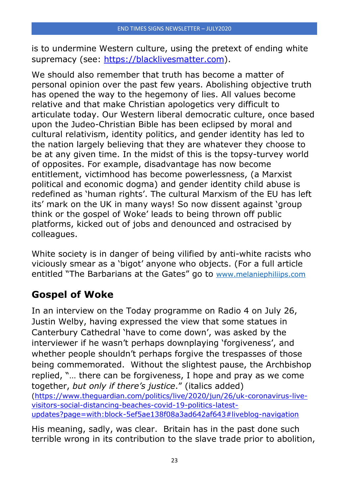is to undermine Western culture, using the pretext of ending white supremacy (see: [https://blacklivesmatter.com\)](https://vfjuk.us8.list-manage.com/track/click?u=748b2cc9dae1e2713467c199a&id=942f8eea80&e=c1ec588e45).

We should also remember that truth has become a matter of personal opinion over the past few years. Abolishing objective truth has opened the way to the hegemony of lies. All values become relative and that make Christian apologetics very difficult to articulate today. Our Western liberal democratic culture, once based upon the Judeo-Christian Bible has been eclipsed by moral and cultural relativism, identity politics, and gender identity has led to the nation largely believing that they are whatever they choose to be at any given time. In the midst of this is the topsy-turvey world of opposites. For example, disadvantage has now become entitlement, victimhood has become powerlessness, (a Marxist political and economic dogma) and gender identity child abuse is redefined as 'human rights'. The cultural Marxism of the EU has left its' mark on the UK in many ways! So now dissent against 'group think or the gospel of Woke' leads to being thrown off public platforms, kicked out of jobs and denounced and ostracised by colleagues.

White society is in danger of being vilified by anti-white racists who viciously smear as a 'bigot' anyone who objects. (For a full article entitled "The Barbarians at the Gates" go to [www.melaniephiliips.com](http://www.melaniephiliips.com/)

## **Gospel of Woke**

In an interview on the Today programme on Radio 4 on July 26, Justin Welby, having expressed the view that some statues in Canterbury Cathedral 'have to come down', was asked by the interviewer if he wasn't perhaps downplaying 'forgiveness', and whether people shouldn't perhaps forgive the trespasses of those being commemorated. Without the slightest pause, the Archbishop replied, "… there can be forgiveness, I hope and pray as we come together, *but only if there's justice*." (italics added) [\(https://www.theguardian.com/politics/live/2020/jun/26/uk-coronavirus-live](https://vfjuk.us8.list-manage.com/track/click?u=748b2cc9dae1e2713467c199a&id=0e658254e9&e=c1ec588e45)[visitors-social-distancing-beaches-covid-19-politics-latest](https://vfjuk.us8.list-manage.com/track/click?u=748b2cc9dae1e2713467c199a&id=0e658254e9&e=c1ec588e45)[updates?page=with:block-5ef5ae138f08a3ad642af643#liveblog-navigation](https://vfjuk.us8.list-manage.com/track/click?u=748b2cc9dae1e2713467c199a&id=0e658254e9&e=c1ec588e45)

His meaning, sadly, was clear. Britain has in the past done such terrible wrong in its contribution to the slave trade prior to abolition,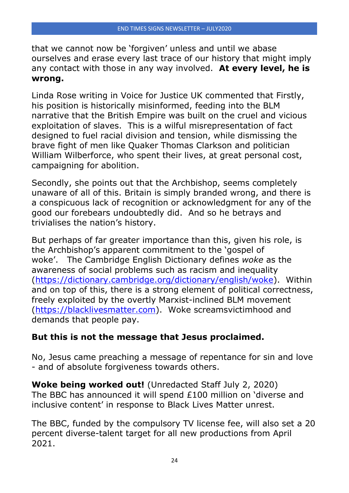that we cannot now be 'forgiven' unless and until we abase ourselves and erase every last trace of our history that might imply any contact with those in any way involved. **At every level, he is wrong.**

Linda Rose writing in Voice for Justice UK commented that Firstly, his position is historically misinformed, feeding into the BLM narrative that the British Empire was built on the cruel and vicious exploitation of slaves. This is a wilful misrepresentation of fact designed to fuel racial division and tension, while dismissing the brave fight of men like Quaker Thomas Clarkson and politician William Wilberforce, who spent their lives, at great personal cost, campaigning for abolition.

Secondly, she points out that the Archbishop, seems completely unaware of all of this. Britain is simply branded wrong, and there is a conspicuous lack of recognition or acknowledgment for any of the good our forebears undoubtedly did. And so he betrays and trivialises the nation's history.

But perhaps of far greater importance than this, given his role, is the Archbishop's apparent commitment to the 'gospel of woke'. The Cambridge English Dictionary defines *woke* as the awareness of social problems such as racism and inequality [\(https://dictionary.cambridge.org/dictionary/english/woke\)](https://vfjuk.us8.list-manage.com/track/click?u=748b2cc9dae1e2713467c199a&id=04d48e965a&e=c1ec588e45). Within and on top of this, there is a strong element of political correctness, freely exploited by the overtly Marxist-inclined BLM movement [\(https://blacklivesmatter.com\)](https://vfjuk.us8.list-manage.com/track/click?u=748b2cc9dae1e2713467c199a&id=ce6af3b33f&e=c1ec588e45). Woke screamsvictimhood and demands that people pay.

## **But this is not the message that Jesus proclaimed.**

No, Jesus came preaching a message of repentance for sin and love - and of absolute forgiveness towards others.

**Woke being worked out!** (Unredacted Staff July 2, 2020) The BBC has announced it will spend £100 million on 'diverse and inclusive content' in response to Black Lives Matter unrest.

The BBC, funded by the compulsory TV license fee, will also set a 20 percent diverse-talent target for all new productions from April 2021.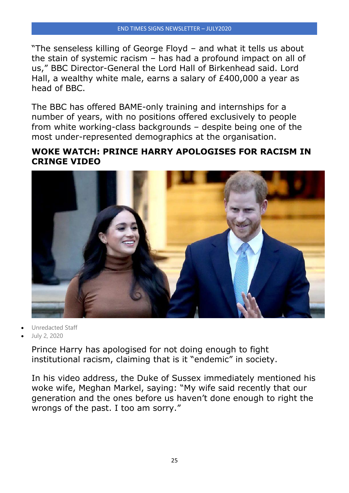"The senseless killing of George Floyd – and what it tells us about the stain of systemic racism – has had a profound impact on all of us," BBC Director-General the Lord Hall of Birkenhead said. Lord Hall, a wealthy white male, earns a salary of £400,000 a year as head of BBC.

The BBC has offered BAME-only training and internships for a number of years, with no positions offered exclusively to people from white working-class backgrounds – despite being one of the most under-represented demographics at the organisation.

#### **WOKE WATCH: PRINCE HARRY APOLOGISES FOR RACISM IN CRINGE VIDEO**



- Unredacted Staff
- July 2, 2020

Prince Harry has apologised for not doing enough to fight institutional racism, claiming that is it "endemic" in society.

In his video address, the Duke of Sussex immediately mentioned his woke wife, Meghan Markel, saying: "My wife said recently that our generation and the ones before us haven't done enough to right the wrongs of the past. I too am sorry."